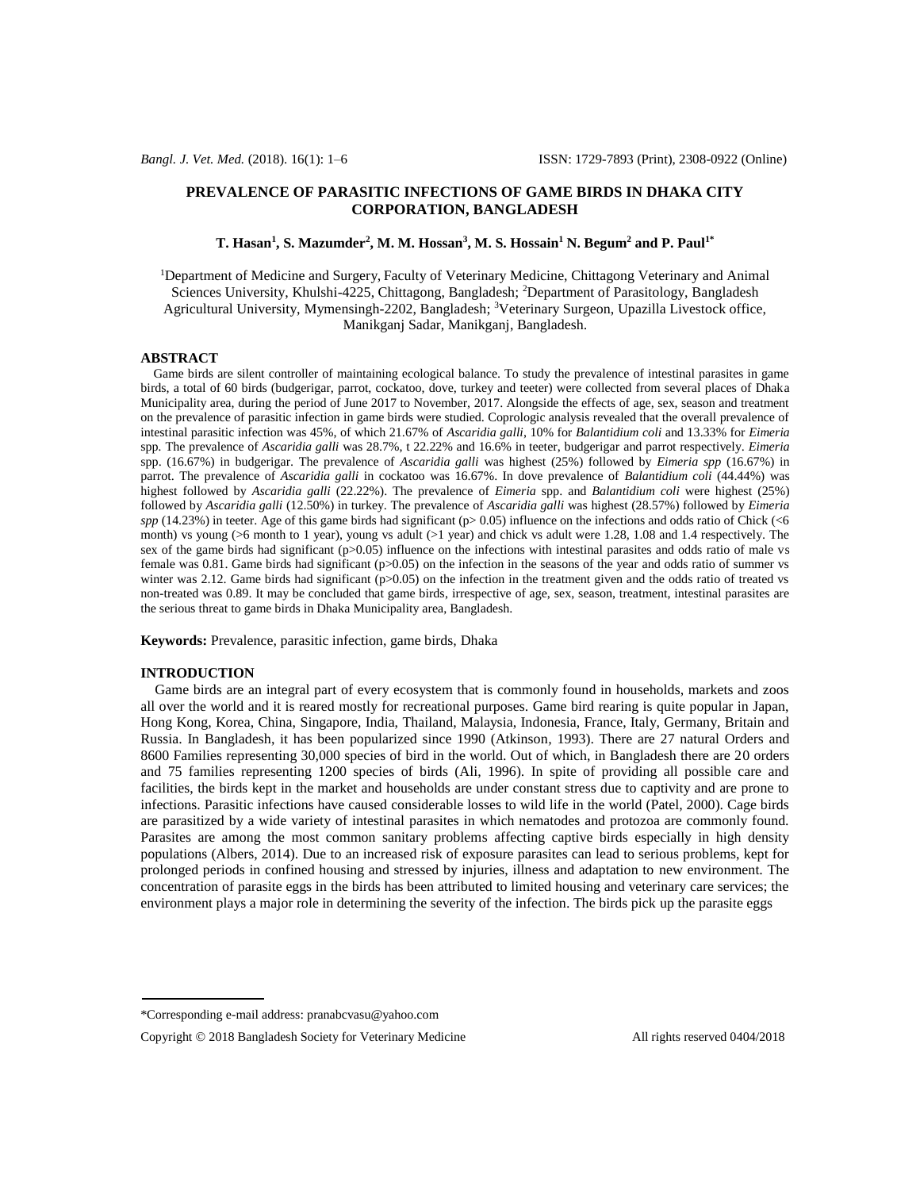# **PREVALENCE OF PARASITIC INFECTIONS OF GAME BIRDS IN DHAKA CITY CORPORATION, BANGLADESH**

# **T. Hasan<sup>1</sup> , S. Mazumder<sup>2</sup> , M. M. Hossan<sup>3</sup> , M. S. Hossain<sup>1</sup> N. Begum<sup>2</sup> and P. Paul1\***

<sup>1</sup>Department of Medicine and Surgery, Faculty of Veterinary Medicine, Chittagong Veterinary and Animal Sciences University, Khulshi-4225, Chittagong, Bangladesh; <sup>2</sup>Department of Parasitology, Bangladesh Agricultural University, Mymensingh-2202, Bangladesh; <sup>3</sup>Veterinary Surgeon, Upazilla Livestock office, Manikganj Sadar, Manikganj, Bangladesh.

# **ABSTRACT**

 Game birds are silent controller of maintaining ecological balance. To study the prevalence of intestinal parasites in game birds, a total of 60 birds (budgerigar, parrot, cockatoo, dove, turkey and teeter) were collected from several places of Dhaka Municipality area, during the period of June 2017 to November, 2017. Alongside the effects of age, sex, season and treatment on the prevalence of parasitic infection in game birds were studied. Coprologic analysis revealed that the overall prevalence of intestinal parasitic infection was 45%, of which 21.67% of *Ascaridia galli*, 10% for *Balantidium coli* and 13.33% for *Eimeria*  spp*.* The prevalence of *Ascaridia galli* was 28.7%, t 22.22% and 16.6% in teeter, budgerigar and parrot respectively. *Eimeria*  spp. (16.67%) in budgerigar. The prevalence of *Ascaridia galli* was highest (25%) followed by *Eimeria spp* (16.67%) in parrot. The prevalence of *Ascaridia galli* in cockatoo was 16.67%. In dove prevalence of *Balantidium coli* (44.44%) was highest followed by *Ascaridia galli* (22.22%). The prevalence of *Eimeria* spp. and *Balantidium coli* were highest (25%) followed by *Ascaridia galli* (12.50%) in turkey. The prevalence of *Ascaridia galli* was highest (28.57%) followed by *Eimeria*   $spp$  (14.23%) in teeter. Age of this game birds had significant ( $p$  > 0.05) influence on the infections and odds ratio of Chick (<6 month) vs young (>6 month to 1 year), young vs adult (>1 year) and chick vs adult were 1.28, 1.08 and 1.4 respectively. The sex of the game birds had significant (p>0.05) influence on the infections with intestinal parasites and odds ratio of male vs female was 0.81. Game birds had significant ( $p>0.05$ ) on the infection in the seasons of the year and odds ratio of summer vs winter was 2.12. Game birds had significant  $(p>0.05)$  on the infection in the treatment given and the odds ratio of treated vs non-treated was 0.89. It may be concluded that game birds, irrespective of age, sex, season, treatment, intestinal parasites are the serious threat to game birds in Dhaka Municipality area, Bangladesh.

**Keywords:** Prevalence, parasitic infection, game birds, Dhaka

## **INTRODUCTION**

 Game birds are an integral part of every ecosystem that is commonly found in households, markets and zoos all over the world and it is reared mostly for recreational purposes. Game bird rearing is quite popular in Japan, Hong Kong, Korea, China, Singapore, India, Thailand, Malaysia, Indonesia, France, Italy, Germany, Britain and Russia. In Bangladesh, it has been popularized since 1990 (Atkinson*,* 1993). There are 27 natural Orders and 8600 Families representing 30,000 species of bird in the world. Out of which, in Bangladesh there are 20 orders and 75 families representing 1200 species of birds (Ali, 1996). In spite of providing all possible care and facilities, the birds kept in the market and households are under constant stress due to captivity and are prone to infections. Parasitic infections have caused considerable losses to wild life in the world (Patel, 2000). Cage birds are parasitized by a wide variety of intestinal parasites in which nematodes and protozoa are commonly found. Parasites are among the most common sanitary problems affecting captive birds especially in high density populations (Albers, 2014). Due to an increased risk of exposure parasites can lead to serious problems, kept for prolonged periods in confined housing and stressed by injuries, illness and adaptation to new environment. The concentration of parasite eggs in the birds has been attributed to limited housing and veterinary care services; the environment plays a major role in determining the severity of the infection. The birds pick up the parasite eggs

<sup>\*</sup>Corresponding e-mail address[: pranabcvasu@yahoo.com](mailto:pranabcvasu@yahoo.com)

Copyright © 2018 Bangladesh Society for Veterinary Medicine All rights reserved 0404/2018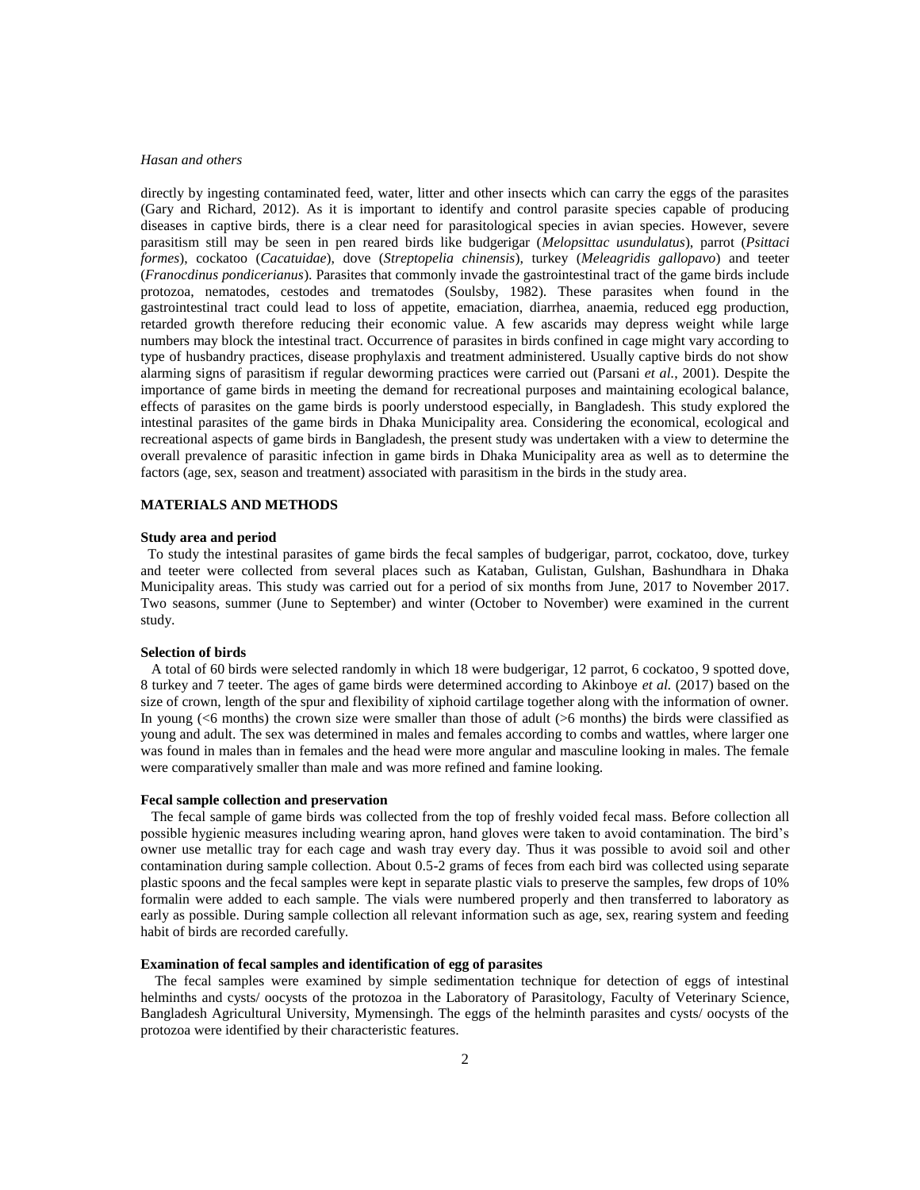## *Hasan and others*

directly by ingesting contaminated feed, water, litter and other insects which can carry the eggs of the parasites (Gary and Richard, 2012). As it is important to identify and control parasite species capable of producing diseases in captive birds, there is a clear need for parasitological species in avian species. However, severe parasitism still may be seen in pen reared birds like budgerigar (*Melopsittac usundulatus*), parrot (*Psittaci formes*), cockatoo (*Cacatuidae*), dove (*Streptopelia chinensis*), turkey (*Meleagridis gallopavo*) and teeter (*Franocdinus pondicerianus*). Parasites that commonly invade the gastrointestinal tract of the game birds include protozoa, nematodes, cestodes and trematodes (Soulsby, 1982). These parasites when found in the gastrointestinal tract could lead to loss of appetite, emaciation, diarrhea, anaemia, reduced egg production, retarded growth therefore reducing their economic value. A few ascarids may depress weight while large numbers may block the intestinal tract. Occurrence of parasites in birds confined in cage might vary according to type of husbandry practices, disease prophylaxis and treatment administered. Usually captive birds do not show alarming signs of parasitism if regular deworming practices were carried out (Parsani *et al.*, 2001). Despite the importance of game birds in meeting the demand for recreational purposes and maintaining ecological balance, effects of parasites on the game birds is poorly understood especially, in Bangladesh. This study explored the intestinal parasites of the game birds in Dhaka Municipality area. Considering the economical, ecological and recreational aspects of game birds in Bangladesh, the present study was undertaken with a view to determine the overall prevalence of parasitic infection in game birds in Dhaka Municipality area as well as to determine the factors (age, sex, season and treatment) associated with parasitism in the birds in the study area.

# **MATERIALS AND METHODS**

## **Study area and period**

To study the intestinal parasites of game birds the fecal samples of budgerigar, parrot, cockatoo, dove, turkey and teeter were collected from several places such as Kataban, Gulistan, Gulshan, Bashundhara in Dhaka Municipality areas. This study was carried out for a period of six months from June, 2017 to November 2017. Two seasons, summer (June to September) and winter (October to November) were examined in the current study.

# **Selection of birds**

A total of 60 birds were selected randomly in which 18 were budgerigar, 12 parrot, 6 cockatoo, 9 spotted dove, 8 turkey and 7 teeter. The ages of game birds were determined according to Akinboye *et al.* (2017) based on the size of crown, length of the spur and flexibility of xiphoid cartilage together along with the information of owner. In young (<6 months) the crown size were smaller than those of adult (>6 months) the birds were classified as young and adult. The sex was determined in males and females according to combs and wattles, where larger one was found in males than in females and the head were more angular and masculine looking in males. The female were comparatively smaller than male and was more refined and famine looking.

## **Fecal sample collection and preservation**

The fecal sample of game birds was collected from the top of freshly voided fecal mass. Before collection all possible hygienic measures including wearing apron, hand gloves were taken to avoid contamination. The bird's owner use metallic tray for each cage and wash tray every day. Thus it was possible to avoid soil and other contamination during sample collection. About 0.5-2 grams of feces from each bird was collected using separate plastic spoons and the fecal samples were kept in separate plastic vials to preserve the samples, few drops of 10% formalin were added to each sample. The vials were numbered properly and then transferred to laboratory as early as possible. During sample collection all relevant information such as age, sex, rearing system and feeding habit of birds are recorded carefully.

# **Examination of fecal samples and identification of egg of parasites**

 The fecal samples were examined by simple sedimentation technique for detection of eggs of intestinal helminths and cysts/ oocysts of the protozoa in the Laboratory of Parasitology, Faculty of Veterinary Science, Bangladesh Agricultural University, Mymensingh. The eggs of the helminth parasites and cysts/ oocysts of the protozoa were identified by their characteristic features.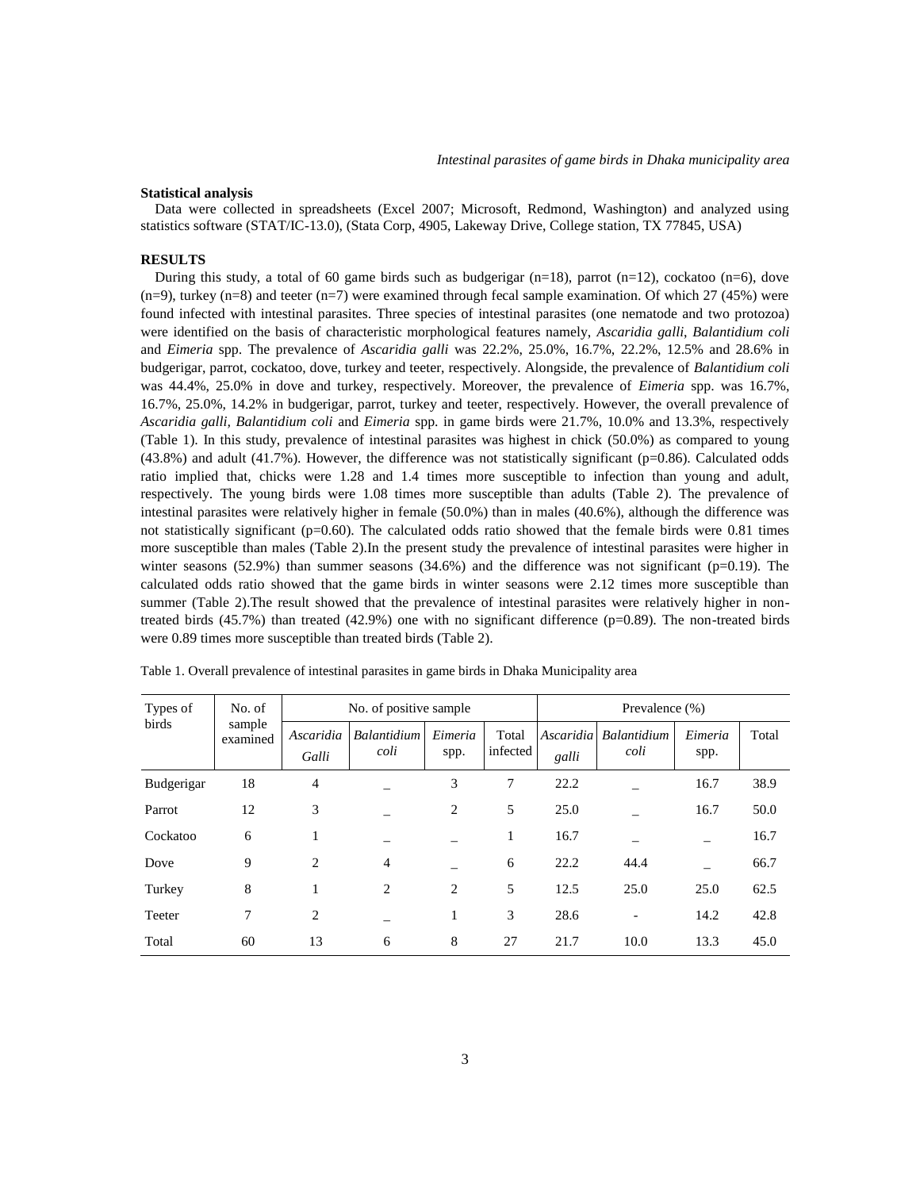# **Statistical analysis**

 Data were collected in spreadsheets (Excel 2007; Microsoft, Redmond, Washington) and analyzed using statistics software (STAT/IC-13.0), (Stata Corp, 4905, Lakeway Drive, College station, TX 77845, USA)

#### **RESULTS**

During this study, a total of 60 game birds such as budgerigar  $(n=18)$ , parrot  $(n=12)$ , cockatoo  $(n=6)$ , dove  $(n=9)$ , turkey  $(n=8)$  and teeter  $(n=7)$  were examined through fecal sample examination. Of which 27 (45%) were found infected with intestinal parasites. Three species of intestinal parasites (one nematode and two protozoa) were identified on the basis of characteristic morphological features namely, *Ascaridia galli*, *Balantidium coli* and *Eimeria* spp. The prevalence of *Ascaridia galli* was 22.2%, 25.0%, 16.7%, 22.2%, 12.5% and 28.6% in budgerigar, parrot, cockatoo, dove, turkey and teeter, respectively. Alongside, the prevalence of *Balantidium coli*  was 44.4%, 25.0% in dove and turkey, respectively. Moreover, the prevalence of *Eimeria* spp. was 16.7%, 16.7%, 25.0%, 14.2% in budgerigar, parrot, turkey and teeter, respectively. However, the overall prevalence of *Ascaridia galli, Balantidium coli* and *Eimeria* spp. in game birds were 21.7%, 10.0% and 13.3%, respectively (Table 1). In this study, prevalence of intestinal parasites was highest in chick (50.0%) as compared to young  $(43.8\%)$  and adult  $(41.7\%)$ . However, the difference was not statistically significant (p=0.86). Calculated odds ratio implied that, chicks were 1.28 and 1.4 times more susceptible to infection than young and adult, respectively. The young birds were 1.08 times more susceptible than adults (Table 2). The prevalence of intestinal parasites were relatively higher in female (50.0%) than in males (40.6%), although the difference was not statistically significant ( $p=0.60$ ). The calculated odds ratio showed that the female birds were 0.81 times more susceptible than males (Table 2).In the present study the prevalence of intestinal parasites were higher in winter seasons  $(52.9%)$  than summer seasons  $(34.6%)$  and the difference was not significant (p=0.19). The calculated odds ratio showed that the game birds in winter seasons were 2.12 times more susceptible than summer (Table 2).The result showed that the prevalence of intestinal parasites were relatively higher in nontreated birds  $(45.7%)$  than treated  $(42.9%)$  one with no significant difference  $(p=0.89)$ . The non-treated birds were 0.89 times more susceptible than treated birds (Table 2).

| Types of<br>birds | No. of<br>sample<br>examined | No. of positive sample |                     |                 |                   | Prevalence $(\%)$ |                               |                 |       |
|-------------------|------------------------------|------------------------|---------------------|-----------------|-------------------|-------------------|-------------------------------|-----------------|-------|
|                   |                              | Ascaridia<br>Galli     | Balantidium<br>coli | Eimeria<br>spp. | Total<br>infected | galli             | Ascaridia Balantidium<br>coli | Eimeria<br>spp. | Total |
| Budgerigar        | 18                           | 4                      |                     | 3               | 7                 | 22.2              |                               | 16.7            | 38.9  |
| Parrot            | 12                           | 3                      |                     | 2               | 5                 | 25.0              |                               | 16.7            | 50.0  |
| Cockatoo          | 6                            | 1                      |                     |                 | 1                 | 16.7              |                               |                 | 16.7  |
| Dove              | 9                            | 2                      | $\overline{4}$      |                 | 6                 | 22.2              | 44.4                          |                 | 66.7  |
| Turkey            | 8                            | 1                      | 2                   | 2               | 5                 | 12.5              | 25.0                          | 25.0            | 62.5  |
| Teeter            | 7                            | 2                      |                     | 1               | 3                 | 28.6              |                               | 14.2            | 42.8  |
| Total             | 60                           | 13                     | 6                   | 8               | 27                | 21.7              | 10.0                          | 13.3            | 45.0  |

Table 1. Overall prevalence of intestinal parasites in game birds in Dhaka Municipality area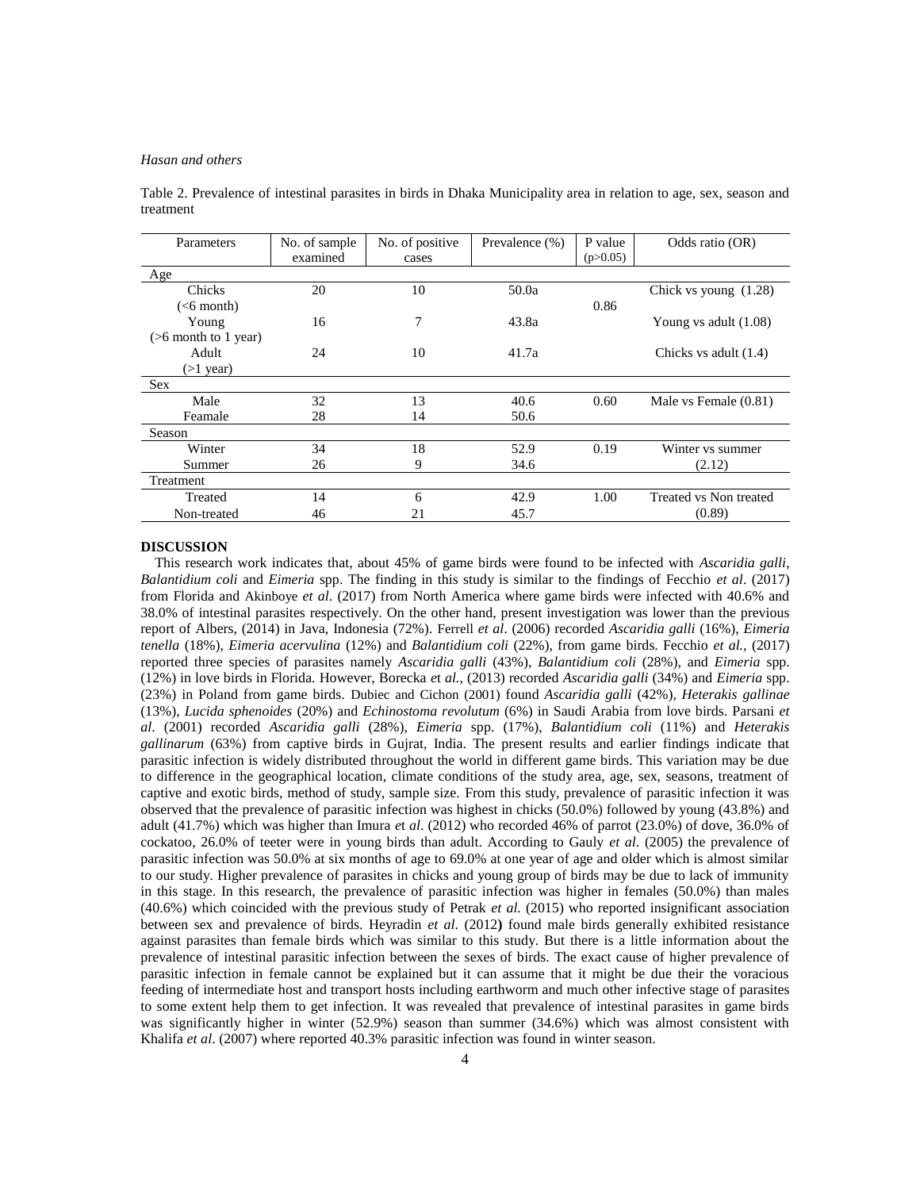## *Hasan and others*

| Parameters              | No. of sample | No. of positive | Prevalence (%) | P value  | Odds ratio (OR)         |
|-------------------------|---------------|-----------------|----------------|----------|-------------------------|
|                         | examined      | cases           |                | (p>0.05) |                         |
| Age                     |               |                 |                |          |                         |
| Chicks                  | 20            | 10              | 50.0a          |          | Chick vs young $(1.28)$ |
| ( <sub>6</sub> month)   |               |                 |                | 0.86     |                         |
| Young                   | 16            | 7               | 43.8a          |          | Young vs adult $(1.08)$ |
| $($ >6 month to 1 year) |               |                 |                |          |                         |
| Adult                   | 24            | 10              | 41.7a          |          | Chicks vs adult (1.4)   |
| $(>1$ year)             |               |                 |                |          |                         |
| <b>Sex</b>              |               |                 |                |          |                         |
| Male                    | 32            | 13              | 40.6           | 0.60     | Male vs Female (0.81)   |
| Feamale                 | 28            | 14              | 50.6           |          |                         |
| Season                  |               |                 |                |          |                         |
| Winter                  | 34            | 18              | 52.9           | 0.19     | Winter vs summer        |
| Summer                  | 26            | 9               | 34.6           |          | (2.12)                  |
| Treatment               |               |                 |                |          |                         |
| Treated                 | 14            | 6               | 42.9           | 1.00     | Treated vs Non treated  |
| Non-treated             | 46            | 21              | 45.7           |          | (0.89)                  |

Table 2. Prevalence of intestinal parasites in birds in Dhaka Municipality area in relation to age, sex, season and treatment

#### **DISCUSSION**

 This research work indicates that, about 45% of game birds were found to be infected with *Ascaridia galli*, *Balantidium coli* and *Eimeria* spp. The finding in this study is similar to the findings of Fecchio *et al*. (2017) from Florida and Akinboye *et al*. (2017) from North America where game birds were infected with 40.6% and 38.0% of intestinal parasites respectively. On the other hand, present investigation was lower than the previous report of Albers, (2014) in Java, Indonesia (72%). Ferrell *et al*. (2006) recorded *Ascaridia galli* (16%), *Eimeria tenella* (18%), *Eimeria acervulina* (12%) and *Balantidium coli* (22%), from game birds. Fecchio *et al.,* (2017) reported three species of parasites namely *Ascaridia galli* (43%), *Balantidium coli* (28%), and *Eimeria* spp. (12%) in love birds in Florida. However, Borecka *e*t *al.*, (2013) recorded *Ascaridia galli* (34%) and *Eimeria* spp. (23%) in Poland from game birds. Dubiec and Cichon (2001) found *Ascaridia galli* (42%), *Heterakis gallinae*  (13%), *Lucida sphenoides* (20%) and *Echinostoma revolutum* (6%) in Saudi Arabia from love birds. Parsani *et al*. (2001) recorded *Ascaridia galli* (28%), *Eimeria* spp. (17%), *Balantidium coli* (11%) and *Heterakis gallinarum* (63%) from captive birds in Gujrat, India. The present results and earlier findings indicate that parasitic infection is widely distributed throughout the world in different game birds. This variation may be due to difference in the geographical location, climate conditions of the study area, age, sex, seasons, treatment of captive and exotic birds, method of study, sample size. From this study, prevalence of parasitic infection it was observed that the prevalence of parasitic infection was highest in chicks (50.0%) followed by young (43.8%) and adult (41.7%) which was higher than Imura *e*t *al*. (2012) who recorded 46% of parrot (23.0%) of dove, 36.0% of cockatoo, 26.0% of teeter were in young birds than adult. According to Gauly *et al*. (2005) the prevalence of parasitic infection was 50.0% at six months of age to 69.0% at one year of age and older which is almost similar to our study. Higher prevalence of parasites in chicks and young group of birds may be due to lack of immunity in this stage. In this research, the prevalence of parasitic infection was higher in females (50.0%) than males (40.6%) which coincided with the previous study of Petrak *et al.* (2015) who reported insignificant association between sex and prevalence of birds. Heyradin *et al*. (2012**)** found male birds generally exhibited resistance against parasites than female birds which was similar to this study. But there is a little information about the prevalence of intestinal parasitic infection between the sexes of birds. The exact cause of higher prevalence of parasitic infection in female cannot be explained but it can assume that it might be due their the voracious feeding of intermediate host and transport hosts including earthworm and much other infective stage of parasites to some extent help them to get infection. It was revealed that prevalence of intestinal parasites in game birds was significantly higher in winter (52.9%) season than summer (34.6%) which was almost consistent with Khalifa *et al*. (2007) where reported 40.3% parasitic infection was found in winter season.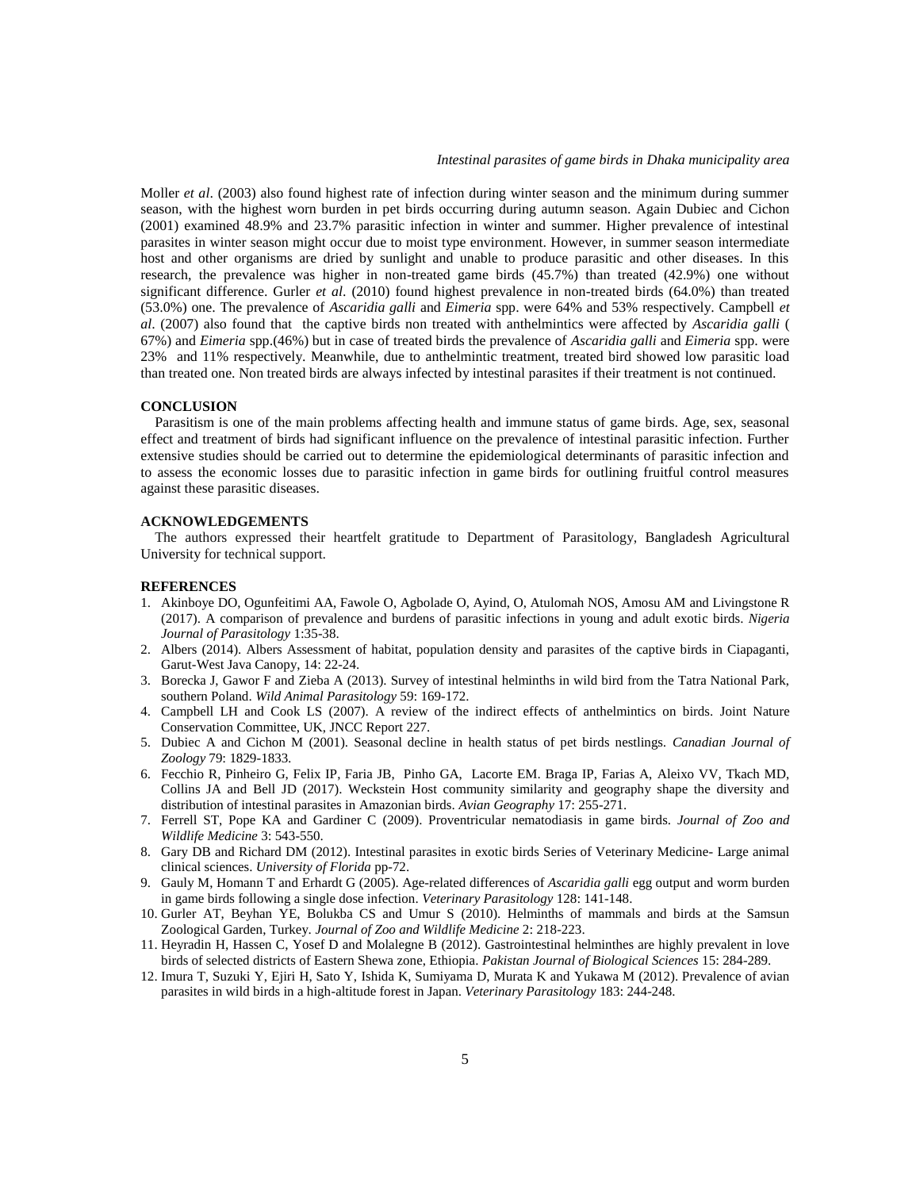Moller *et al*. (2003) also found highest rate of infection during winter season and the minimum during summer season, with the highest worn burden in pet birds occurring during autumn season. Again Dubiec and Cichon (2001) examined 48.9% and 23.7% parasitic infection in winter and summer. Higher prevalence of intestinal parasites in winter season might occur due to moist type environment. However, in summer season intermediate host and other organisms are dried by sunlight and unable to produce parasitic and other diseases. In this research, the prevalence was higher in non-treated game birds (45.7%) than treated (42.9%) one without significant difference. Gurler *et al*. (2010) found highest prevalence in non-treated birds (64.0%) than treated (53.0%) one. The prevalence of *Ascaridia galli* and *Eimeria* spp. were 64% and 53% respectively. Campbell *et al*. (2007) also found that the captive birds non treated with anthelmintics were affected by *Ascaridia galli* ( 67%) and *Eimeria* spp.(46%) but in case of treated birds the prevalence of *Ascaridia galli* and *Eimeria* spp. were 23% and 11% respectively. Meanwhile, due to anthelmintic treatment, treated bird showed low parasitic load than treated one. Non treated birds are always infected by intestinal parasites if their treatment is not continued.

## **CONCLUSION**

 Parasitism is one of the main problems affecting health and immune status of game birds. Age, sex, seasonal effect and treatment of birds had significant influence on the prevalence of intestinal parasitic infection. Further extensive studies should be carried out to determine the epidemiological determinants of parasitic infection and to assess the economic losses due to parasitic infection in game birds for outlining fruitful control measures against these parasitic diseases.

## **ACKNOWLEDGEMENTS**

 The authors expressed their heartfelt gratitude to Department of Parasitology, Bangladesh Agricultural University for technical support.

# **REFERENCES**

- 1. Akinboye DO, Ogunfeitimi AA, Fawole O, Agbolade O, Ayind, O, Atulomah NOS, Amosu AM and Livingstone R (2017). A comparison of prevalence and burdens of parasitic infections in young and adult exotic birds. *Nigeria Journal of Parasitology* 1:35-38.
- 2. Albers (2014). Albers Assessment of habitat, population density and parasites of the captive birds in Ciapaganti, Garut-West Java Canopy, 14: 22-24.
- 3. Borecka J, Gawor F and Zieba A (2013). Survey of intestinal helminths in wild bird from the Tatra National Park, southern Poland. *Wild Animal Parasitology* 59: 169-172.
- 4. Campbell LH and Cook LS (2007). A review of the indirect effects of anthelmintics on birds. Joint Nature Conservation Committee, UK, JNCC Report 227.
- 5. Dubiec A and Cichon M (2001). Seasonal decline in health status of pet birds nestlings*. Canadian Journal of Zoology* 79: 1829*-*1833*.*
- 6. Fecchio R, Pinheiro G, Felix IP, Faria JB, Pinho GA, Lacorte EM. Braga IP, Farias A, Aleixo VV, Tkach MD, Collins JA and Bell JD (2017). Weckstein Host community similarity and geography shape the diversity and distribution of intestinal parasites in Amazonian birds. *Avian Geography* 17: 255-271.
- 7. Ferrell ST, Pope KA and Gardiner C (2009). Proventricular nematodiasis in game birds. *Journal of Zoo and Wildlife Medicine* 3: 543-550.
- 8. Gary DB and Richard DM (2012). Intestinal parasites in exotic birds Series of Veterinary Medicine- Large animal clinical sciences. *University of Florida* pp-72.
- 9. Gauly M, Homann T and Erhardt G (2005). Age-related differences of *Ascaridia galli* egg output and worm burden in game birds following a single dose infection. *Veterinary Parasitology* 128: 141-148.
- 10. Gurler AT, Beyhan YE, Bolukba CS and Umur S (2010). Helminths of mammals and birds at the Samsun Zoological Garden, Turkey. *Journal of Zoo and Wildlife Medicine* 2: 218-223.
- 11. Heyradin H, Hassen C, Yosef D and Molalegne B (2012). Gastrointestinal helminthes are highly prevalent in love birds of selected districts of Eastern Shewa zone, Ethiopia. *Pakistan Journal of Biological Sciences* 15: 284-289.
- 12. Imura T, Suzuki Y, Ejiri H, Sato Y, Ishida K, Sumiyama D, Murata K and Yukawa M (2012). Prevalence of avian parasites in wild birds in a high-altitude forest in Japan. *Veterinary Parasitology* 183: 244-248.